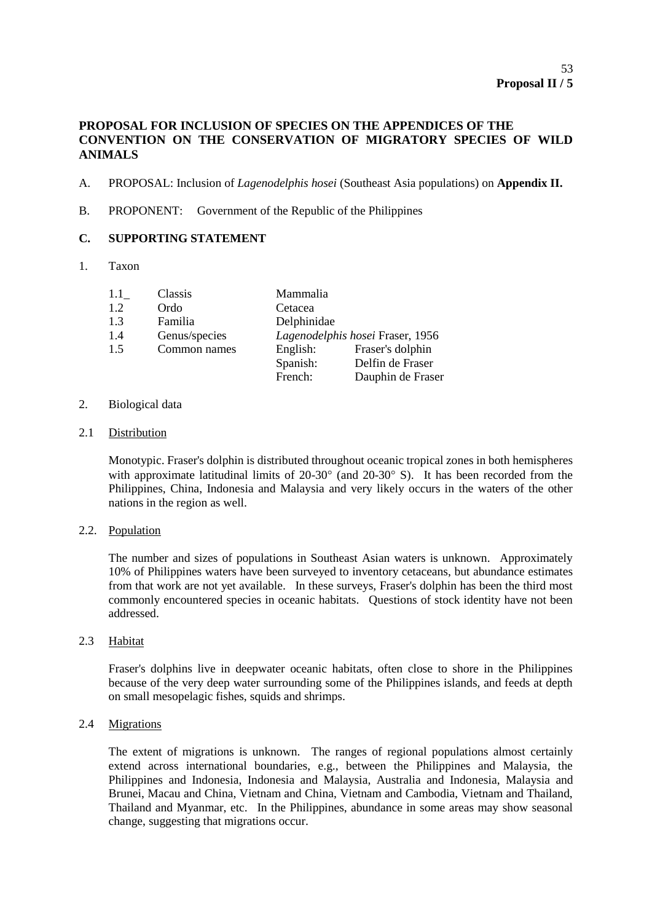# **PROPOSAL FOR INCLUSION OF SPECIES ON THE APPENDICES OF THE CONVENTION ON THE CONSERVATION OF MIGRATORY SPECIES OF WILD ANIMALS**

- A. PROPOSAL: Inclusion of *Lagenodelphis hosei* (Southeast Asia populations) on **Appendix II.**
- B. PROPONENT: Government of the Republic of the Philippines

# **C. SUPPORTING STATEMENT**

1. Taxon

| 1.1 | Classis       | Mammalia                         |                   |
|-----|---------------|----------------------------------|-------------------|
| 1.2 | Ordo          | Cetacea                          |                   |
| 1.3 | Familia       | Delphinidae                      |                   |
| 1.4 | Genus/species | Lagenodelphis hosei Fraser, 1956 |                   |
| 1.5 | Common names  | English:                         | Fraser's dolphin  |
|     |               | Spanish:                         | Delfin de Fraser  |
|     |               | French:                          | Dauphin de Fraser |

## 2. Biological data

2.1 Distribution

Monotypic. Fraser's dolphin is distributed throughout oceanic tropical zones in both hemispheres with approximate latitudinal limits of  $20-30^\circ$  (and  $20-30^\circ$  S). It has been recorded from the Philippines, China, Indonesia and Malaysia and very likely occurs in the waters of the other nations in the region as well.

2.2. Population

The number and sizes of populations in Southeast Asian waters is unknown. Approximately 10% of Philippines waters have been surveyed to inventory cetaceans, but abundance estimates from that work are not yet available. In these surveys, Fraser's dolphin has been the third most commonly encountered species in oceanic habitats. Questions of stock identity have not been addressed.

2.3 Habitat

Fraser's dolphins live in deepwater oceanic habitats, often close to shore in the Philippines because of the very deep water surrounding some of the Philippines islands, and feeds at depth on small mesopelagic fishes, squids and shrimps.

2.4 Migrations

The extent of migrations is unknown. The ranges of regional populations almost certainly extend across international boundaries, e.g., between the Philippines and Malaysia, the Philippines and Indonesia, Indonesia and Malaysia, Australia and Indonesia, Malaysia and Brunei, Macau and China, Vietnam and China, Vietnam and Cambodia, Vietnam and Thailand, Thailand and Myanmar, etc. In the Philippines, abundance in some areas may show seasonal change, suggesting that migrations occur.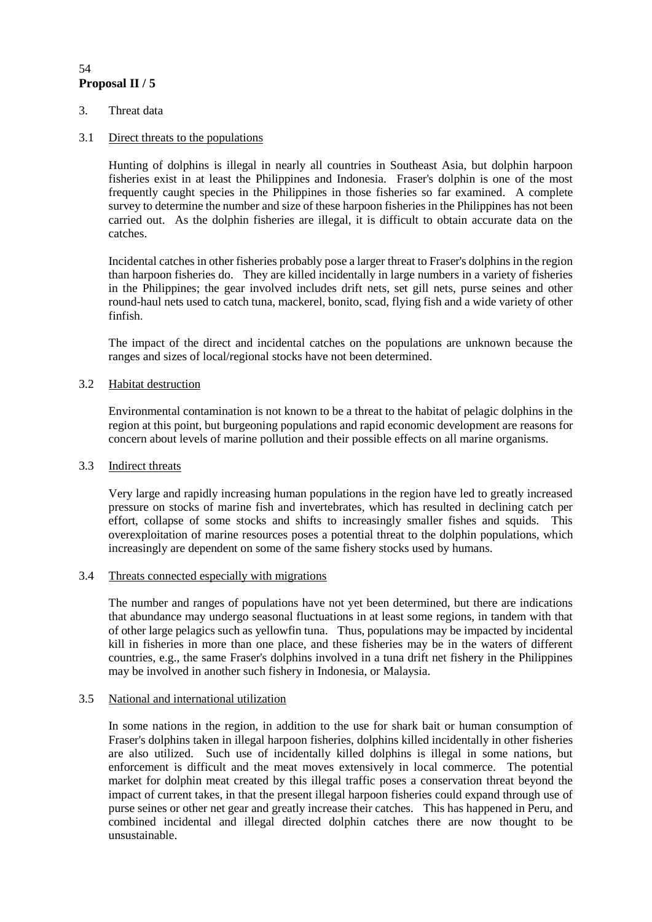# **Proposal II / 5** 54

3. Threat data

# 3.1 Direct threats to the populations

Hunting of dolphins is illegal in nearly all countries in Southeast Asia, but dolphin harpoon fisheries exist in at least the Philippines and Indonesia. Fraser's dolphin is one of the most frequently caught species in the Philippines in those fisheries so far examined. A complete survey to determine the number and size of these harpoon fisheries in the Philippines has not been carried out. As the dolphin fisheries are illegal, it is difficult to obtain accurate data on the catches.

Incidental catches in other fisheries probably pose a larger threat to Fraser's dolphins in the region than harpoon fisheries do. They are killed incidentally in large numbers in a variety of fisheries in the Philippines; the gear involved includes drift nets, set gill nets, purse seines and other round-haul nets used to catch tuna, mackerel, bonito, scad, flying fish and a wide variety of other finfish.

The impact of the direct and incidental catches on the populations are unknown because the ranges and sizes of local/regional stocks have not been determined.

### 3.2 Habitat destruction

Environmental contamination is not known to be a threat to the habitat of pelagic dolphins in the region at this point, but burgeoning populations and rapid economic development are reasons for concern about levels of marine pollution and their possible effects on all marine organisms.

### 3.3 Indirect threats

Very large and rapidly increasing human populations in the region have led to greatly increased pressure on stocks of marine fish and invertebrates, which has resulted in declining catch per effort, collapse of some stocks and shifts to increasingly smaller fishes and squids. This overexploitation of marine resources poses a potential threat to the dolphin populations, which increasingly are dependent on some of the same fishery stocks used by humans.

### 3.4 Threats connected especially with migrations

The number and ranges of populations have not yet been determined, but there are indications that abundance may undergo seasonal fluctuations in at least some regions, in tandem with that of other large pelagics such as yellowfin tuna. Thus, populations may be impacted by incidental kill in fisheries in more than one place, and these fisheries may be in the waters of different countries, e.g., the same Fraser's dolphins involved in a tuna drift net fishery in the Philippines may be involved in another such fishery in Indonesia, or Malaysia.

### 3.5 National and international utilization

In some nations in the region, in addition to the use for shark bait or human consumption of Fraser's dolphins taken in illegal harpoon fisheries, dolphins killed incidentally in other fisheries are also utilized. Such use of incidentally killed dolphins is illegal in some nations, but enforcement is difficult and the meat moves extensively in local commerce. The potential market for dolphin meat created by this illegal traffic poses a conservation threat beyond the impact of current takes, in that the present illegal harpoon fisheries could expand through use of purse seines or other net gear and greatly increase their catches. This has happened in Peru, and combined incidental and illegal directed dolphin catches there are now thought to be unsustainable.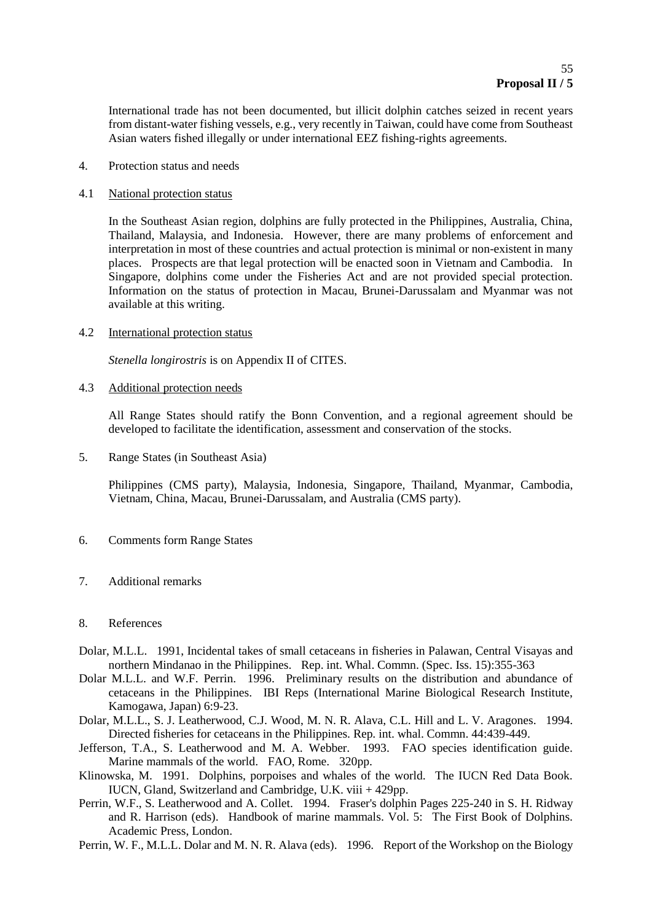International trade has not been documented, but illicit dolphin catches seized in recent years from distant-water fishing vessels, e.g., very recently in Taiwan, could have come from Southeast Asian waters fished illegally or under international EEZ fishing-rights agreements.

4. Protection status and needs

#### 4.1 National protection status

In the Southeast Asian region, dolphins are fully protected in the Philippines, Australia, China, Thailand, Malaysia, and Indonesia. However, there are many problems of enforcement and interpretation in most of these countries and actual protection is minimal or non-existent in many places. Prospects are that legal protection will be enacted soon in Vietnam and Cambodia. In Singapore, dolphins come under the Fisheries Act and are not provided special protection. Information on the status of protection in Macau, Brunei-Darussalam and Myanmar was not available at this writing.

#### 4.2 International protection status

*Stenella longirostris* is on Appendix II of CITES.

#### 4.3 Additional protection needs

All Range States should ratify the Bonn Convention, and a regional agreement should be developed to facilitate the identification, assessment and conservation of the stocks.

5. Range States (in Southeast Asia)

Philippines (CMS party), Malaysia, Indonesia, Singapore, Thailand, Myanmar, Cambodia, Vietnam, China, Macau, Brunei-Darussalam, and Australia (CMS party).

- 6. Comments form Range States
- 7. Additional remarks

### 8. References

- Dolar, M.L.L. 1991, Incidental takes of small cetaceans in fisheries in Palawan, Central Visayas and northern Mindanao in the Philippines. Rep. int. Whal. Commn. (Spec. Iss. 15):355-363
- Dolar M.L.L. and W.F. Perrin. 1996. Preliminary results on the distribution and abundance of cetaceans in the Philippines. IBI Reps (International Marine Biological Research Institute, Kamogawa, Japan) 6:9-23.
- Dolar, M.L.L., S. J. Leatherwood, C.J. Wood, M. N. R. Alava, C.L. Hill and L. V. Aragones. 1994. Directed fisheries for cetaceans in the Philippines. Rep. int. whal. Commn. 44:439-449.
- Jefferson, T.A., S. Leatherwood and M. A. Webber. 1993. FAO species identification guide. Marine mammals of the world. FAO, Rome. 320pp.
- Klinowska, M. 1991. Dolphins, porpoises and whales of the world. The IUCN Red Data Book. IUCN, Gland, Switzerland and Cambridge, U.K. viii + 429pp.
- Perrin, W.F., S. Leatherwood and A. Collet. 1994. Fraser's dolphin Pages 225-240 in S. H. Ridway and R. Harrison (eds). Handbook of marine mammals. Vol. 5: The First Book of Dolphins. Academic Press, London.
- Perrin, W. F., M.L.L. Dolar and M. N. R. Alava (eds). 1996. Report of the Workshop on the Biology